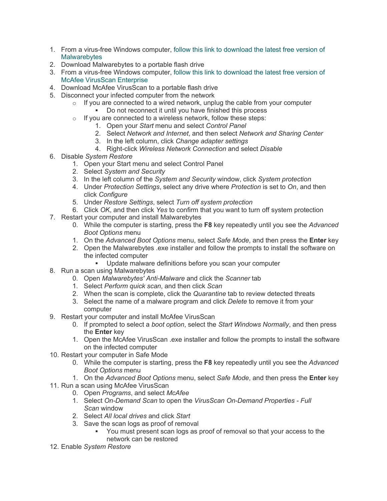- 1. From a virus-free Windows computer[, follow this link to download the latest free version of](https://www.malwarebytes.com/mwb-download/)  **Malwarebytes**
- 2. Download Malwarebytes to a portable flash drive
- 3. From a virus-free Windows computer[, follow this link to download the latest free version of](https://www.mcafee.com/us/products/virusscan-enterprise.aspx)  [McAfee VirusScan Enterprise](https://www.mcafee.com/us/products/virusscan-enterprise.aspx)
- 4. Download McAfee VirusScan to a portable flash drive
- 5. Disconnect your infected computer from the network
	- $\circ$  If you are connected to a wired network, unplug the cable from your computer
		- Do not reconnect it until you have finished this process
	- $\circ$  If you are connected to a wireless network, follow these steps:
		- 1. Open your *Start* menu and select *Control Panel*
		- 2. Select *Network and Internet*, and then select *Network and Sharing Center*
		- 3. In the left column, click *Change adapter settings*
		- 4. Right-click *Wireless Network Connection* and select *Disable*
- 6. Disable *System Restore*
	- 1. Open your Start menu and select Control Panel
	- 2. Select *System and Security*
	- 3. In the left column of the *System and Security* window, click *System protection*
	- 4. Under *Protection Settings*, select any drive where *Protection* is set to *On*, and then click *Configure*
	- 5. Under *Restore Settings*, select *Turn off system protection*
	- 6. Click *OK*, and then click *Yes* to confirm that you want to turn off system protection
- 7. Restart your computer and install Malwarebytes
	- 0. While the computer is starting, press the **F8** key repeatedly until you see the *Advanced Boot Options* menu
	- 1. On the *Advanced Boot Options* menu, select *Safe Mode*, and then press the **Enter** key
	- 2. Open the Malwarebytes .exe installer and follow the prompts to install the software on the infected computer
		- Update malware definitions before you scan your computer
- 8. Run a scan using Malwarebytes
	- 0. Open *Malwarebytes' Anti-Malware* and click the *Scanner* tab
	- 1. Select *Perform quick scan*, and then click *Scan*
	- 2. When the scan is complete, click the *Quarantine* tab to review detected threats
	- 3. Select the name of a malware program and click *Delete* to remove it from your computer
- 9. Restart your computer and install McAfee VirusScan
	- 0. If prompted to select a *boot option*, select the *Start Windows Normally*, and then press the **Enter** key
	- 1. Open the McAfee VirusScan .exe installer and follow the prompts to install the software on the infected computer
- 10. Restart your computer in Safe Mode
	- 0. While the computer is starting, press the **F8** key repeatedly until you see the *Advanced Boot Options* menu
	- 1. On the *Advanced Boot Options* menu, select *Safe Mode*, and then press the **Enter** key
- 11. Run a scan using McAfee VirusScan
	- 0. Open *Programs*, and select *McAfee*
	- 1. Select *On-Demand Scan* to open the *VirusScan On-Demand Properties - Full Scan* window
	- 2. Select *All local drives* and click *Start*
	- 3. Save the scan logs as proof of removal
		- You must present scan logs as proof of removal so that your access to the network can be restored
- 12. Enable *System Restore*